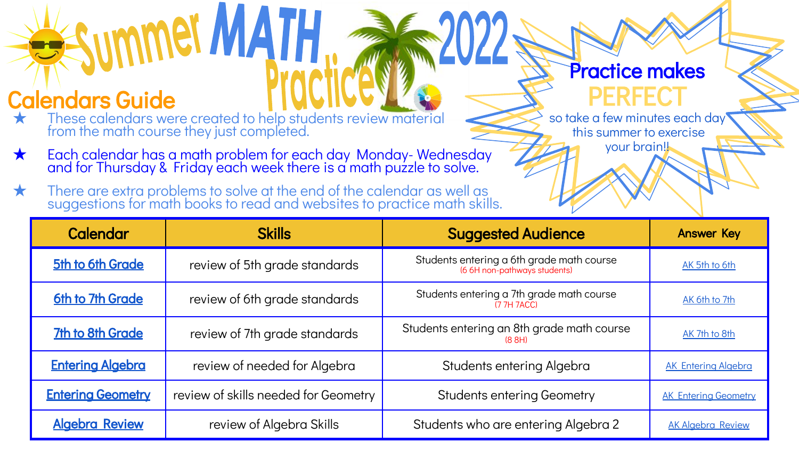## Calendars Guide

★ These calendars were created to help students review material from the math course they just completed.

**ummet MATH** 

- ★ Each calendar has a math problem for each day Monday- Wednesday and for Thursday & Friday each week there is a math puzzle to solve.
- ★ There are extra problems to solve at the end of the calendar as well as suggestions for math books to read and websites to practice math skills.

## Practice makes **PERFFCT**

so take a few minutes each day this summer to exercise your brain!!

| <b>Calendar</b>          | <b>Skills</b>                        | <b>Suggested Audience</b>                                                 | <b>Answer Key</b>           |
|--------------------------|--------------------------------------|---------------------------------------------------------------------------|-----------------------------|
| 5th to 6th Grade         | review of 5th grade standards        | Students entering a 6th grade math course<br>(6 6H non-pathways students) | AK 5th to 6th               |
| 6th to 7th Grade         | review of 6th grade standards        | Students entering a 7th grade math course<br>(7 7H 7ACC)                  | AK 6th to 7th               |
| <b>7th to 8th Grade</b>  | review of 7th grade standards        | Students entering an 8th grade math course<br>(8 8H)                      | AK 7th to 8th               |
| <b>Entering Algebra</b>  | review of needed for Algebra         | Students entering Algebra                                                 | <b>AK Entering Algebra</b>  |
| <b>Entering Geometry</b> | review of skills needed for Geometry | <b>Students entering Geometry</b>                                         | <b>AK Entering Geometry</b> |
| <b>Algebra Review</b>    | review of Algebra Skills             | Students who are entering Algebra 2                                       | <b>AK Algebra Review</b>    |